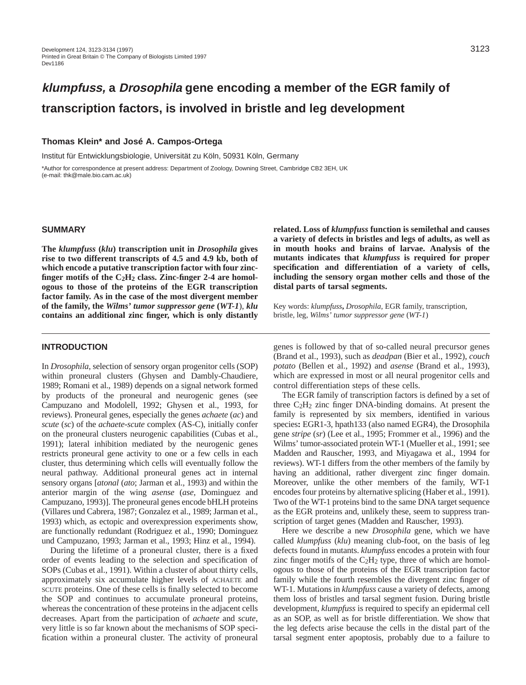# **klumpfuss, a Drosophila gene encoding a member of the EGR family of transcription factors, is involved in bristle and leg development**

## **Thomas Klein\* and José A. Campos-Ortega**

Institut für Entwicklungsbiologie, Universität zu Köln, 50931 Köln, Germany

\*Author for correspondence at present address: Department of Zoology, Downing Street, Cambridge CB2 3EH, UK (e-mail: thk@male.bio.cam.ac.uk)

#### **SUMMARY**

**The** *klumpfuss* **(***klu***) transcription unit in** *Drosophila* **gives rise to two different transcripts of 4.5 and 4.9 kb, both of which encode a putative transcription factor with four zincfinger motifs of the C2H2 class. Zinc-finger 2-4 are homologous to those of the proteins of the EGR transcription factor family. As in the case of the most divergent member of the family, the** *Wilms' tumor suppressor gene* **(***WT-1*), *klu* **contains an additional zinc finger, which is only distantly**

## **INTRODUCTION**

In *Drosophila*, selection of sensory organ progenitor cells (SOP) within proneural clusters (Ghysen and Dambly-Chaudiere, 1989; Romani et al., 1989) depends on a signal network formed by products of the proneural and neurogenic genes (see Campuzano and Modolell, 1992; Ghysen et al., 1993, for reviews). Proneural genes, especially the genes *achaete* (*ac*) and *scute* (*sc*) of the *achaete-scute* complex (AS-C), initially confer on the proneural clusters neurogenic capabilities (Cubas et al., 1991); lateral inhibition mediated by the neurogenic genes restricts proneural gene activity to one or a few cells in each cluster, thus determining which cells will eventually follow the neural pathway. Additional proneural genes act in internal sensory organs [*atonal* (*ato*; Jarman et al., 1993) and within the anterior margin of the wing *asense* (*ase*, Dominguez and Campuzano, 1993)]. The proneural genes encode bHLH proteins (Villares und Cabrera, 1987; Gonzalez et al., 1989; Jarman et al., 1993) which, as ectopic and overexpression experiments show, are functionally redundant (Rodriguez et al., 1990; Dominguez und Campuzano, 1993; Jarman et al., 1993; Hinz et al., 1994).

During the lifetime of a proneural cluster, there is a fixed order of events leading to the selection and specification of SOPs (Cubas et al., 1991). Within a cluster of about thirty cells, approximately six accumulate higher levels of ACHAETE and SCUTE proteins. One of these cells is finally selected to become the SOP and continues to accumulate proneural proteins, whereas the concentration of these proteins in the adjacent cells decreases. Apart from the participation of *achaete* and *scute*, very little is so far known about the mechanisms of SOP specification within a proneural cluster. The activity of proneural

**related. Loss of** *klumpfuss* **function is semilethal and causes a variety of defects in bristles and legs of adults, as well as in mouth hooks and brains of larvae. Analysis of the mutants indicates that** *klumpfuss* **is required for proper specification and differentiation of a variety of cells, including the sensory organ mother cells and those of the distal parts of tarsal segments.** 

Key words: *klumpfuss***,** *Drosophila*, EGR family, transcription, bristle, leg, *Wilms' tumor suppressor gene* (*WT-1*)

genes is followed by that of so-called neural precursor genes (Brand et al., 1993), such as *deadpan* (Bier et al., 1992), *couch potato* (Bellen et al., 1992) and *asense* (Brand et al., 1993), which are expressed in most or all neural progenitor cells and control differentiation steps of these cells.

The EGR family of transcription factors is defined by a set of three C2H2 zinc finger DNA-binding domains. At present the family is represented by six members, identified in various species**:** EGR1-3, hpath133 (also named EGR4), the Drosophila gene *stripe* (*sr*) (Lee et al., 1995; Frommer et al., 1996) and the Wilms' tumor-associated protein WT-1 (Mueller et al., 1991; see Madden and Rauscher, 1993, and Miyagawa et al., 1994 for reviews). WT-1 differs from the other members of the family by having an additional, rather divergent zinc finger domain. Moreover, unlike the other members of the family, WT-1 encodes four proteins by alternative splicing (Haber et al., 1991). Two of the WT-1 proteins bind to the same DNA target sequence as the EGR proteins and, unlikely these, seem to suppress transcription of target genes (Madden and Rauscher, 1993).

Here we describe a new *Drosophila* gene, which we have called *klumpfuss* (*klu*) meaning club-foot, on the basis of leg defects found in mutants. *klumpfuss* encodes a protein with four zinc finger motifs of the  $C_2H_2$  type, three of which are homologous to those of the proteins of the EGR transcription factor family while the fourth resembles the divergent zinc finger of WT-1. Mutations in *klumpfuss* cause a variety of defects, among them loss of bristles and tarsal segment fusion. During bristle development, *klumpfuss* is required to specify an epidermal cell as an SOP, as well as for bristle differentiation. We show that the leg defects arise because the cells in the distal part of the tarsal segment enter apoptosis, probably due to a failure to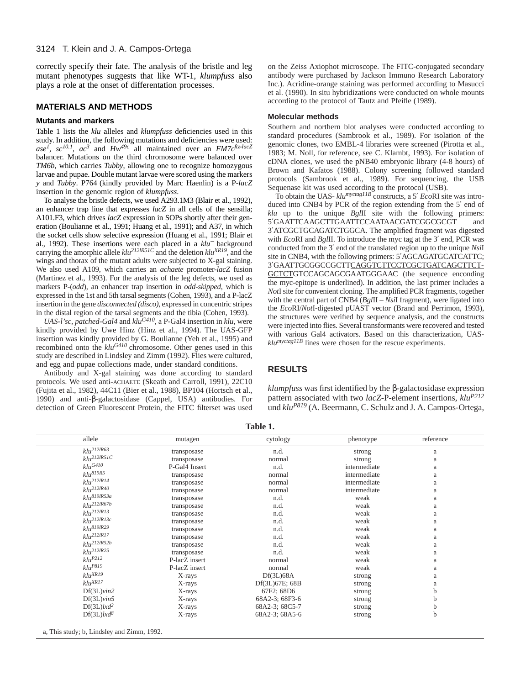correctly specify their fate. The analysis of the bristle and leg mutant phenotypes suggests that like WT-1, *klumpfuss* also plays a role at the onset of differentation processes.

## **MATERIALS AND METHODS**

#### **Mutants and markers**

Table 1 lists the *klu* alleles and *klumpfuss* deficiencies used in this study. In addition, the following mutations and deficiencies were used: *ase1*, *sc10.1*, *ac<sup>3</sup>* and *Hw49c* all maintained over an *FM7cftz-lacZ* balancer. Mutations on the third chromosome were balanced over *TM6b*, which carries *Tubby*, allowing one to recognize homozygous larvae and pupae. Double mutant larvae were scored using the markers *y* and *Tubby*. P764 (kindly provided by Marc Haenlin) is a P-*lacZ* insertion in the genomic region of *klumpfuss*.

To analyse the bristle defects, we used A293.1M3 (Blair et al., 1992), an enhancer trap line that expresses *lacZ* in all cells of the sensilla; A101.F3, which drives *lacZ* expression in SOPs shortly after their generation (Boulianne et al., 1991; Huang et al., 1991); and A37, in which the socket cells show selective expression (Huang et al., 1991; Blair et al., 1992). These insertions were each placed in a *klu*<sup>−</sup> background carrying the amorphic allele *klu212lR51C* and the deletion *kluXR19*, and the wings and thorax of the mutant adults were subjected to X-gal staining. We also used A109, which carries an *achaete* promoter-*lacZ* fusion (Martinez et al., 1993). For the analysis of the leg defects, we used as markers P-(*odd*), an enhancer trap insertion in *odd-skipped*, which is expressed in the 1st and 5th tarsal segments (Cohen, 1993), and a P-lacZ insertion in the gene *disconnected (disco)*, expressed in concentric stripes in the distal region of the tarsal segments and the tibia (Cohen, 1993).

*UAS-l'sc*, *patched-Gal4* and *kluG410*, a P-Gal4 insertion in *klu*, were kindly provided by Uwe Hinz (Hinz et al., 1994). The UAS-GFP insertion was kindly provided by G. Boulianne (Yeh et al., 1995) and recombined onto the *kluG410* chromosome. Other genes used in this study are described in Lindsley and Zimm (1992). Flies were cultured, and egg and pupae collections made, under standard conditions.

Antibody and X-gal staining was done according to standard protocols. We used anti-ACHAETE (Skeath and Carroll, 1991), 22C10 (Fujita et al., 1982), 44C11 (Bier et al., 1988), BP104 (Hortsch et al., 1990) and anti-β-galactosidase (Cappel, USA) antibodies. For detection of Green Fluorescent Protein, the FITC filterset was used on the Zeiss Axiophot microscope. The FITC-conjugated secondary antibody were purchased by Jackson Immuno Research Laboratory Inc.). Acridine-orange staining was performed according to Masucci et al. (1990). In situ hybridizations were conducted on whole mounts according to the protocol of Tautz and Pfeifle (1989).

#### **Molecular methods**

Southern and northern blot analyses were conducted according to standard procedures (Sambrook et al., 1989). For isolation of the genomic clones, two EMBL-4 libraries were screened (Pirotta et al., 1983; M. Noll, for reference, see C. Klambt, 1993). For isolation of cDNA clones, we used the pNB40 embryonic library (4-8 hours) of Brown and Kafatos (1988). Colony screening followed standard protocols (Sambrook et al., 1989). For sequencing, the USB Sequenase kit was used according to the protocol (USB).

To obtain the UAS- *klumyctag11B* constructs, a 5′ *Eco*RI site was introduced into CNB4 by PCR of the region extending from the 5′ end of *klu* up to the unique *Bgl*II site with the following primers: 5′GAATTCAAGCTTGAATTCCAATAACGATCGGCGCGT and 3′ATCGCTGCAGATCTGGCA. The amplified fragment was digested with *Eco*RI and *Bgl*II. To introduce the myc tag at the 3′ end, PCR was conducted from the 3′ end of the translated region up to the unique *Nsi*I site in CNB4, with the following primers: 5'AGCAGATGCATCATTC; 3′GAATTGCGGCCGCTTCAGGTCTTCCTCGCTGATCAGCTTCT-GCTCTGTCCAGCAGCGAATGGGAAC (the sequence enconding the myc-epitope is underlined). In addition, the last primer includes a *Not*I site for convenient cloning. The amplified PCR fragments, together with the central part of CNB4 (*Bgl*II – *Nsi*I fragment), were ligated into the *Eco*RI/*Not*I-digested pUAST vector (Brand and Perrimon, 1993), the structures were verified by sequence analysis, and the constructs were injected into flies. Several transformants were recovered and tested with various Gal4 activators. Based on this characterization, UAS*klumyctag11B* lines were chosen for the rescue experiments.

### **RESULTS**

*klumpfuss* was first identified by the β-galactosidase expression pattern associated with two *lacZ*-P-element insertions, *kluP212* und  $klu^{P819}$  (A. Beermann, C. Schulz and J. A. Campos-Ortega,

| allele                 | mutagen       | cytology       | phenotype    | reference |
|------------------------|---------------|----------------|--------------|-----------|
| $klu^{212lR63}$        | transposase   | n.d.           | strong       | a         |
| $klu^{212lR5IC}$       | transposase   | normal         | strong       | a         |
| $klu$ G410             | P-Gal4 Insert | n.d.           | intermediate | a         |
| klu <sup>819R5</sup>   | transposase   | normal         | intermediate | a         |
| $klu^{212lR14}$        | transposase   | normal         | intermediate | a         |
| $klu^{212lR40}$        | transposase   | normal         | intermediate | a         |
| $klu^{819lR53a}$       | transposase   | n.d.           | weak         | a         |
| $klu^{212lR67b}$       | transposase   | n.d.           | weak         | a         |
| $klu^{212IR13}$        | transposase   | n.d.           | weak         | a         |
| $klu^{212lR13c}$       | transposase   | n.d.           | weak         | a         |
| $klu^{819lR29}$        | transposase   | n.d.           | weak         | a         |
| $klu^{212lR17}$        | transposase   | n.d.           | weak         | a         |
| $klu^{212lR52b}$       | transposase   | n.d.           | weak         | a         |
| $klu^{212lR25}$        | transposase   | n.d.           | weak         | a         |
| $klu^{P212}$           | P-lacZ insert | normal         | weak         | a         |
| $klu^{P819}$           | P-lacZ insert | normal         | weak         | a         |
| $klu^{XR19}$           | X-rays        | Df(3L)68A      | strong       | a         |
| $klu^{XR17}$           | X-rays        | Df(3L)67E; 68B | strong       |           |
| Df(3L)vin2             | X-rays        | 67F2; 68D6     | strong       | h         |
| $Df(3L)v$ in5          | X-rays        | 68A2-3; 68F3-6 | strong       |           |
| $Df(3L)lxd^2$          | X-rays        | 68A2-3; 68C5-7 | strong       | b         |
| Df(3L)lxd <sup>8</sup> | X-rays        | 68A2-3; 68A5-6 | strong       | b         |

**Table 1.** 

a, This study; b, Lindsley and Zimm, 1992.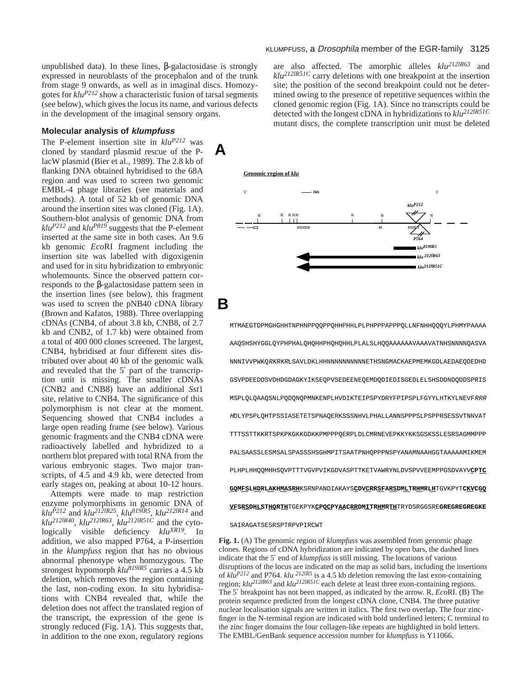unpublished data). In these lines,  $β$ -galactosidase is strongly expressed in neuroblasts of the procephalon and of the trunk from stage 9 onwards, as well as in imaginal discs. Homozygotes for *kluP212* show a characteristic fusion of tarsal segments (see below), which gives the locus its name, and various defects in the development of the imaginal sensory organs.

#### **Molecular analysis of klumpfuss**

The P-element insertion site in *kluP212* was cloned by standard plasmid rescue of the PlacW plasmid (Bier et al., 1989). The 2.8 kb of flanking DNA obtained hybridised to the 68A region and was used to screen two genomic EMBL-4 phage libraries (see materials and methods). A total of 52 kb of genomic DNA around the insertion sites was cloned (Fig. 1A). Southern-blot analysis of genomic DNA from  $klu^{P212}$  and  $klu^{P819}$  suggests that the P-element inserted at the same site in both cases. An 9.6 kb genomic *Eco*RI fragment including the insertion site was labelled with digoxigenin and used for in situ hybridization to embryonic wholemounts. Since the observed pattern corresponds to the β-galactosidase pattern seen in the insertion lines (see below), this fragment was used to screen the pNB40 cDNA library (Brown and Kafatos, 1988). Three overlapping cDNAs (CNB4, of about 3.8 kb, CNB8, of 2.7 kb and CNB2, of 1.7 kb) were obtained from a total of 400 000 clones screened. The largest, CNB4, hybridised at four different sites distributed over about 40 kb of the genomic walk and revealed that the 5′ part of the transcription unit is missing. The smaller cDNAs (CNB2 and CNB8) have an additional *Sst*1 site, relative to CNB4. The significance of this polymorphism is not clear at the moment. Sequencing showed that CNB4 includes a large open reading frame (see below). Various genomic fragments and the CNB4 cDNA were radioactively labelled and hybridized to a northern blot prepared with total RNA from the various embryonic stages. Two major transcripts, of 4.5 and 4.9 kb, were detected from early stages on, peaking at about 10-12 hours.

Attempts were made to map restriction enzyme polymorphisms in genomic DNA of *kluP212* and *klu212lR25*, *klu819lR5*, *klu212lR14* and *klu212lR40*, *klu212lR63*, *klu212lR51C* and the cytologically visible deficiency *kluXR19*. In addition, we also mapped P764, a P-insertion in the *klumpfuss* region that has no obvious abnormal phenotype when homozygous. The strongest hypomorph *klu819lR5* carries a 4.5 kb deletion, which removes the region containing the last, non-coding exon. In situ hybridisations with CNB4 revealed that, while the deletion does not affect the translated region of the transcript, the expression of the gene is strongly reduced (Fig. 1A). This suggests that, in addition to the one exon, regulatory regions

### KLUMPFUSS, a *Drosophila* member of the EGR-family 3125

are also affected. The amorphic alleles *klu212lR63* and *klu212lR51C* carry deletions with one breakpoint at the insertion site; the position of the second breakpoint could not be determined owing to the presence of repetitive sequences within the cloned genomic region (Fig. 1A). Since no transcripts could be detected with the longest cDNA in hybridizations to *klu212lR51C* mutant discs, the complete transcription unit must be deleted





## **B**

**A**

MTMAEGTDPMGHGHHTNPHNPPQQPPQHHPHHLPLPHPPPAPPPQLLNFNHHQQQYLPHMYPAAAA AAQSHSHYGGLQYPHPHALQHQHHPHQHQHHLPLALSLHQQAAAAAAVAAAVATNHSNNNNQASVA NNNIVVPWKQRKRKRLSAVLDKLHHNNNNNNNNNNETHSNGMACKAEPMEMKGDLAEDAEQDEDHD GSVPDEEDDSVDHDGDAGKYIKSEQPVSEDEENEQEMDQDIEDISGEDLELSHSDDNDQDDSPRIS MSPLQLQAAQSNLPQDQNQPMNKENPLHVDIKTEIPSPYDRYFPIPSPLFGYYLHTKYLNEVFRRR <sup>H</sup>DLYPSPLQHTPSSIASETETSPNAQERKSSSNHVLPHALLANNSPPPSLPSPPRSESSVTNNVAT TTTSSTTKKRTSPKPKGKKGDKKPMPPPQERPLDLCMRNEVEPKKYKKSGSKSSLESRSAGMMPPP PALSAASSLESMSALSPASSSHSGHMPITSAATPNHQPPPNSPYANAMNAAHGGTAAAAAMIKMEM PLHPLHHQQMHHSQVPTTTVGVPVIKGDVASPTTKETVAWRYNLDVSPVVEEMPPGSDVAYV**CPTC GQMFSLHDRLAKHMASRH**KSRNPANDIAKAYS**CDVCRRSFARSDMLTRHMRLH**TGVKPYT**CKVCGQ VFSRSDHLSTHQRTH**TGEKPYK**CPQCPYAACRRDMITRHMRTH**TRYDSRGGSRE**GREGREGREGKE**

#### SAIRAGATSESRSPTRPVPIRCWT

**Fig. 1.** (A) The genomic region of *klumpfuss* was assembled from genomic phage clones. Regions of cDNA hybridization are indicated by open bars, the dashed lines indicate that the 5′ end of *klumpfuss* is still missing. The locations of various disruptions of the locus are indicated on the map as solid bars, including the insertions of  $k \bar{l} \hat{u}^{P212}$  and P764.  $k \bar{l} \hat{u}^{212 \bar{l} R5}$  is a 4.5 kb deletion removing the last exon-containing region;  $klu^{212IR63}$  and  $klu^{212IR51C}$  each delete at least three exon-containing regions. The 5′ breakpoint has not been mapped, as indicated by the arrow. R, *Eco*RI. (B) The protein sequence predicted from the longest cDNA clone, CNB4. The three putative nuclear localisation signals are written in italics. The first two overlap. The four zincfinger in the N-terminal region are indicated with bold underlined letters; C terminal to the zinc finger domains the four collagen-like repeats are highlighted in bold letters. The EMBL/GenBank sequence accession number for *klumpfuss* is Y11066.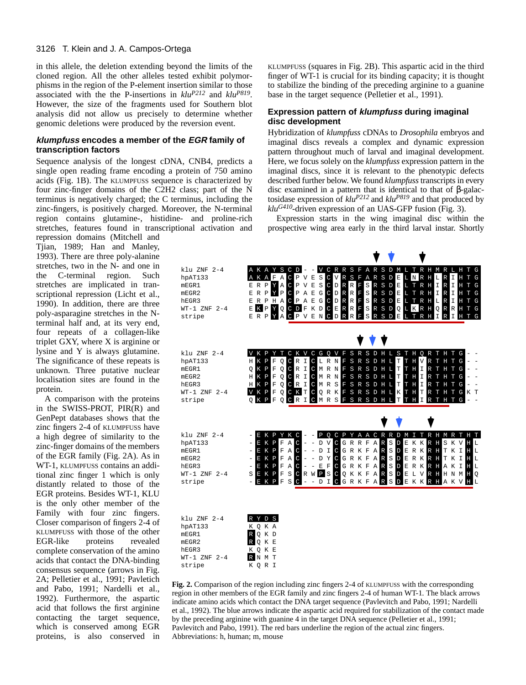in this allele, the deletion extending beyond the limits of the cloned region. All the other alleles tested exhibit polymorphisms in the region of the P-element insertion similar to those associated with the the P-insertions in *kluP212* and *kluP819*. However, the size of the fragments used for Southern blot analysis did not allow us precisely to determine whether genomic deletions were produced by the reversion event.

## **klumpfuss encodes a member of the EGR family of transcription factors**

Sequence analysis of the longest cDNA, CNB4, predicts a single open reading frame encoding a protein of 750 amino acids (Fig. 1B). The KLUMPFUSS sequence is characterized by four zinc-finger domains of the C2H2 class; part of the N terminus is negatively charged; the C terminus, including the zinc-fingers, is positively charged. Moreover, the N-terminal region contains glutamine-, histidine- and proline-rich stretches, features found in transcriptional activation and

repression domains (Mitchell and Tjian, 1989; Han and Manley, 1993). There are three poly-alanine stretches, two in the N- and one in the C-terminal region. Such stretches are implicated in transcriptional repression (Licht et al., 1990). In addition, there are three poly-asparagine stretches in the Nterminal half and, at its very end, four repeats of a collagen-like triplet GXY, where X is arginine or lysine and Y is always glutamine. The significance of these repeats is unknown. Three putative nuclear localisation sites are found in the protein.

A comparison with the proteins in the SWISS-PROT, PIR(R) and GenPept databases shows that the zinc fingers 2-4 of KLUMPFUSS have a high degree of similarity to the zinc-finger domains of the members of the EGR family (Fig. 2A). As in WT-1, KLUMPFUSS contains an additional zinc finger 1 which is only distantly related to those of the EGR proteins. Besides WT-1, KLU is the only other member of the Family with four zinc fingers. Closer comparison of fingers 2-4 of KLUMPFUSS with those of the other EGR-like proteins revealed complete conservation of the amino acids that contact the DNA-binding consensus sequence (arrows in Fig. 2A; Pelletier et al., 1991; Pavletich and Pabo, 1991; Nardelli et al., 1992). Furthermore, the aspartic acid that follows the first arginine contacting the target sequence, which is conserved among EGR proteins, is also conserved in

KLUMPFUSS (squares in Fig. 2B). This aspartic acid in the third finger of WT-1 is crucial for its binding capacity; it is thought to stabilize the binding of the preceding arginine to a guanine base in the target sequence (Pelletier et al., 1991).

### **Expression pattern of klumpfuss during imaginal disc development**

Hybridization of *klumpfuss* cDNAs to *Drosophila* embryos and imaginal discs reveals a complex and dynamic expression pattern throughout much of larval and imaginal development. Here, we focus solely on the *klumpfuss* expression pattern in the imaginal discs, since it is relevant to the phenotypic defects described further below. We found *klumpfuss* transcripts in every disc examined in a pattern that is identical to that of β-galactosidase expression of *kluP212* and *kluP819* and that produced by *kluG410*-driven expression of an UAS-GFP fusion (Fig. 3).

Expression starts in the wing imaginal disc within the prospective wing area early in the third larval instar. Shortly



**Fig. 2.** Comparison of the region including zinc fingers 2-4 of KLUMPFUSS with the corresponding region in other members of the EGR family and zinc fingers 2-4 of human WT-1*.* The black arrows indicate amino acids which contact the DNA target sequence (Pavlevitch and Pabo, 1991; Nardelli et al., 1992). The blue arrows indicate the aspartic acid required for stabilization of the contact made by the preceding arginine with guanine 4 in the target DNA sequence (Pelletier et al., 1991; Pavlevitch and Pabo, 1991). The red bars underline the region of the actual zinc fingers. Abbreviations: h, human; m, mouse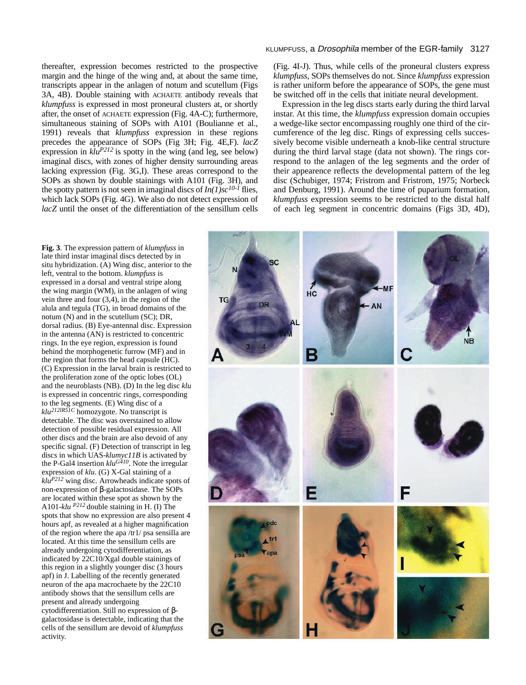thereafter, expression becomes restricted to the prospective margin and the hinge of the wing and, at about the same time, transcripts appear in the anlagen of notum and scutellum (Figs 3A, 4B). Double staining with ACHAETE antibody reveals that *klumpfuss* is expressed in most proneural clusters at, or shortly after, the onset of ACHAETE expression (Fig. 4A-C); furthermore, simultaneous staining of SOPs with A101 (Boulianne et al., 1991) reveals that *klumpfuss* expression in these regions precedes the appearance of SOPs (Fig 3H; Fig. 4E,F). *lacZ* expression in  $\frac{k \ln P}{2l^2}$  is spotty in the wing (and leg, see below) imaginal discs, with zones of higher density surrounding areas lacking expression (Fig. 3G,I). These areas correspond to the SOPs as shown by double stainings with A101 (Fig. 3H), and the spotty pattern is not seen in imaginal discs of  $In(1)$ sc<sup>10-1</sup> flies, which lack SOPs (Fig. 4G). We also do not detect expression of *lacZ* until the onset of the differentiation of the sensillum cells

## KLUMPFUSS, a Drosophila member of the EGR-family 3127

(Fig. 4I-J). Thus, while cells of the proneural clusters express *klumpfuss*, SOPs themselves do not. Since *klumpfuss* expression is rather uniform before the appearance of SOPs, the gene must be switched off in the cells that initiate neural development.

Expression in the leg discs starts early during the third larval instar. At this time, the *klumpfuss* expression domain occupies a wedge-like sector encompassing roughly one third of the circumference of the leg disc. Rings of expressing cells successively become visible underneath a knob-like central structure during the third larval stage (data not shown). The rings correspond to the anlagen of the leg segments and the order of their appearence reflects the developmental pattern of the leg disc (Schubiger, 1974; Fristrom and Fristrom, 1975; Norbeck and Denburg, 1991). Around the time of puparium formation, *klumpfuss* expression seems to be restricted to the distal half of each leg segment in concentric domains (Figs 3D, 4D),



**Fig. 3**. The expression pattern of *klumpfuss* in late third instar imaginal discs detected by in situ hybridization. (A) Wing disc, anterior to the left, ventral to the bottom. *klumpfuss* is expressed in a dorsal and ventral stripe along the wing margin (WM), in the anlagen of wing vein three and four (3,4), in the region of the alula and tegula (TG), in broad domains of the notum (N) and in the scutellum (SC); DR, dorsal radius. (B) Eye-antennal disc. Expression in the antenna (AN) is restricted to concentric rings. In the eye region, expression is found behind the morphogenetic furrow (MF) and in the region that forms the head capsule (HC). (C) Expression in the larval brain is restricted to the proliferation zone of the optic lobes (OL) and the neuroblasts (NB). (D) In the leg disc *klu* is expressed in concentric rings, corresponding to the leg segments. (E) Wing disc of a *klu212lR51C* homozygote. No transcript is detectable. The disc was overstained to allow detection of possible residual expression. All other discs and the brain are also devoid of any specific signal. (F) Detection of transcript in leg discs in which UAS-*klumyc11B* is activated by the P-Gal4 insertion  $klu^{G410}$ . Note the irregular expression of *klu*. (G) X-Gal staining of a *kluP212* wing disc. Arrowheads indicate spots of non-expression of β-galactosidase. The SOPs are located within these spot as shown by the A101-*klu P212* double staining in H. (I) The spots that show no expression are also present 4 hours apf, as revealed at a higher magnification of the region where the apa /tr1/ psa sensilla are located. At this time the sensillum cells are already undergoing cytodifferentiation, as indicated by 22C10/Xgal double stainings of this region in a slightly younger disc (3 hours apf) in J. Labelling of the recently generated neuron of the apa macrochaete by the 22C10 antibody shows that the sensillum cells are present and already undergoing cytodifferentiation. Still no expression of βgalactosidase is detectable, indicating that the cells of the sensillum are devoid of *klumpfuss* activity.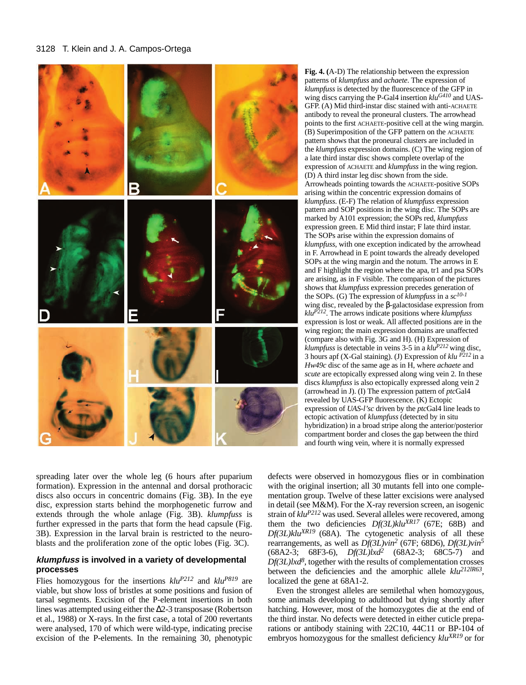

**Fig. 4. (**A-D) The relationship between the expression patterns of *klumpfuss* and *achaete*. The expression of *klumpfuss* is detected by the fluorescence of the GFP in wing discs carrying the P-Gal4 insertion *kluG410* and UAS-GFP. (A) Mid third-instar disc stained with anti-ACHAETE antibody to reveal the proneural clusters. The arrowhead points to the first ACHAETE-positive cell at the wing margin. (B) Superimposition of the GFP pattern on the ACHAETE pattern shows that the proneural clusters are included in the *klumpfuss* expression domains. (C) The wing region of a late third instar disc shows complete overlap of the expression of ACHAETE and *klumpfuss* in the wing region. (D) A third instar leg disc shown from the side. Arrowheads pointing towards the ACHAETE*-*positive SOPs arising within the concentric expression domains of *klumpfuss*. (E-F) The relation of *klumpfuss* expression pattern and SOP positions in the wing disc. The SOPs are marked by A101 expression; the SOPs red, *klumpfuss* expression green. E Mid third instar; F late third instar. The SOPs arise within the expression domains of *klumpfuss*, with one exception indicated by the arrowhead in F. Arrowhead in E point towards the already developed SOPs at the wing margin and the notum. The arrows in E and F highlight the region where the apa, tr1 and psa SOPs are arising, as in F visible. The comparison of the pictures shows that *klumpfuss* expression precedes generation of the SOPs. (G) The expression of *klumpfuss* in a *sc10-1* wing disc, revealed by the β-galactosidase expression from *kluP212*. The arrows indicate positions where *klumpfuss* expression is lost or weak. All affected positions are in the wing region; the main expression domains are unaffected (compare also with Fig. 3G and H). (H) Expression of *klumpfuss* is detectable in veins 3-5 in a *kluP212* wing disc, 3 hours apf (X-Gal staining). (J) Expression of *klu P212* in a *Hw49c* disc of the same age as in H, where *achaete* and *scute* are ectopically expressed along wing vein 2. In these discs *klumpfuss* is also ectopically expressed along vein 2 (arrowhead in J). (I) The expression pattern of *ptc*Gal4 revealed by UAS-GFP fluorescence. (K) Ectopic expression of *UAS-l'sc* driven by the *ptc*Gal4 line leads to ectopic activation of *klumpfuss* (detected by in situ hybridization) in a broad stripe along the anterior/posterior compartment border and closes the gap between the third and fourth wing vein, where it is normally expressed

spreading later over the whole leg (6 hours after puparium formation). Expression in the antennal and dorsal prothoracic discs also occurs in concentric domains (Fig. 3B). In the eye disc, expression starts behind the morphogenetic furrow and extends through the whole anlage (Fig. 3B). *klumpfuss* is further expressed in the parts that form the head capsule (Fig. 3B). Expression in the larval brain is restricted to the neuroblasts and the proliferation zone of the optic lobes (Fig. 3C).

## **klumpfuss is involved in a variety of developmental processes**

Flies homozygous for the insertions  $klu^{P212}$  and  $klu^{P819}$  are viable, but show loss of bristles at some positions and fusion of tarsal segments. Excision of the P-element insertions in both lines was attempted using either the ∆2-3 transposase (Robertson et al., 1988) or X-rays. In the first case, a total of 200 revertants were analysed, 170 of which were wild-type, indicating precise excision of the P-elements. In the remaining 30, phenotypic

defects were observed in homozygous flies or in combination with the original insertion; all 30 mutants fell into one complementation group. Twelve of these latter excisions were analysed in detail (see M&M). For the X-ray reversion screen, an isogenic strain of *kluP212* was used. Several alleles were recovered, among them the two deficiencies *Df(3L)kluXR17* (67E; 68B) and *Df(3L)kluXR19* (68A). The cytogenetic analysis of all these rearrangements, as well as *Df(3L)vin2* (67F; 68D6), *Df(3L)vin5* (68A2-3; 68F3-6), *Df(3L)lxd2* (68A2-3; 68C5-7) and  $Df(3L)lxd^8$ , together with the results of complementation crosses between the deficiencies and the amorphic allele *klu212lR63*, localized the gene at 68A1-2.

Even the strongest alleles are semilethal when homozygous, some animals developing to adulthood but dying shortly after hatching. However, most of the homozygotes die at the end of the third instar. No defects were detected in either cuticle preparations or antibody staining with 22C10, 44C11 or BP-104 of embryos homozygous for the smallest deficiency *kluXR19* or for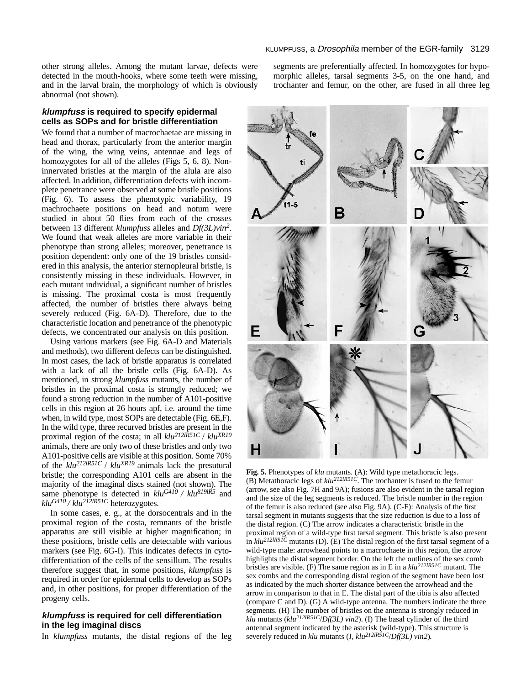other strong alleles. Among the mutant larvae, defects were detected in the mouth-hooks, where some teeth were missing, and in the larval brain, the morphology of which is obviously abnormal (not shown).

## **klumpfuss is required to specify epidermal cells as SOPs and for bristle differentiation**

We found that a number of macrochaetae are missing in head and thorax, particularly from the anterior margin of the wing, the wing veins, antennae and legs of homozygotes for all of the alleles (Figs 5, 6, 8). Noninnervated bristles at the margin of the alula are also affected. In addition, differentiation defects with incomplete penetrance were observed at some bristle positions (Fig. 6). To assess the phenotypic variability, 19 machrochaete positions on head and notum were studied in about 50 flies from each of the crosses between 13 different *klumpfuss* alleles and *Df(3L)vin2*. We found that weak alleles are more variable in their phenotype than strong alleles; moreover, penetrance is position dependent: only one of the 19 bristles considered in this analysis, the anterior sternopleural bristle, is consistently missing in these individuals. However, in each mutant individual, a significant number of bristles is missing. The proximal costa is most frequently affected, the number of bristles there always being severely reduced (Fig. 6A-D). Therefore, due to the characteristic location and penetrance of the phenotypic defects, we concentrated our analysis on this position.

Using various markers (see Fig. 6A-D and Materials and methods), two different defects can be distinguished. In most cases, the lack of bristle apparatus is correlated with a lack of all the bristle cells (Fig. 6A-D). As mentioned, in strong *klumpfuss* mutants, the number of bristles in the proximal costa is strongly reduced; we found a strong reduction in the number of A101-positive cells in this region at 26 hours apf, i.e. around the time when, in wild type, most SOPs are detectable (Fig. 6E,F). In the wild type, three recurved bristles are present in the proximal region of the costa; in all *klu212lR51C* / *kluXR19* animals, there are only two of these bristles and only two A101-positive cells are visible at this position. Some 70% of the *klu212lR51C* / *kluXR19* animals lack the presutural bristle; the corresponding A101 cells are absent in the majority of the imaginal discs stained (not shown). The same phenotype is detected in  $klu^{G410}$  /  $klu^{8191R5}$  and  $k \frac{Id}{d}$  /  $k \frac{I}{2}$ <sup>212</sup>lR51C heterozygotes.

In some cases, e. g., at the dorsocentrals and in the proximal region of the costa, remnants of the bristle apparatus are still visible at higher magnification; in these positions, bristle cells are detectable with various markers (see Fig. 6G-I). This indicates defects in cytodifferentiation of the cells of the sensillum. The results therefore suggest that, in some positions, *klumpfuss* is required in order for epidermal cells to develop as SOPs and, in other positions, for proper differentiation of the progeny cells.

## **klumpfuss is required for cell differentiation in the leg imaginal discs**

In *klumpfuss* mutants, the distal regions of the leg

segments are preferentially affected. In homozygotes for hypomorphic alleles, tarsal segments 3-5, on the one hand, and trochanter and femur, on the other, are fused in all three leg



**Fig. 5.** Phenotypes of *klu* mutants. (A): Wild type metathoracic legs. (B) Metathoracic legs of *klu212lR51C*. The trochanter is fused to the femur (arrow, see also Fig. 7H and 9A); fusions are also evident in the tarsal region and the size of the leg segments is reduced. The bristle number in the region of the femur is also reduced (see also Fig. 9A). (C-F): Analysis of the first tarsal segment in mutants suggests that the size reduction is due to a loss of the distal region. (C) The arrow indicates a characteristic bristle in the proximal region of a wild-type first tarsal segment. This bristle is also present in  $k\ell u^{2/2lRSI\bar{C}}$  mutants (D). (E) The distal region of the first tarsal segment of a wild-type male: arrowhead points to a macrochaete in this region, the arrow highlights the distal segment border. On the left the outlines of the sex comb bristles are visible. (F) The same region as in E in a *klu212lR51C* mutant. The sex combs and the corresponding distal region of the segment have been lost as indicated by the much shorter distance between the arrowhead and the arrow in comparison to that in E. The distal part of the tibia is also affected (compare C and D). (G) A wild-type antenna. The numbers indicate the three segments. (H) The number of bristles on the antenna is strongly reduced in *klu* mutants (*klu212lR51C*/*Df(3L) vin2*). (I) The basal cylinder of the third antennal segment indicated by the asterisk (wild-type). This structure is severely reduced in *klu* mutants (J, *klu212lR51C*/*Df(3L) vin2*)*.*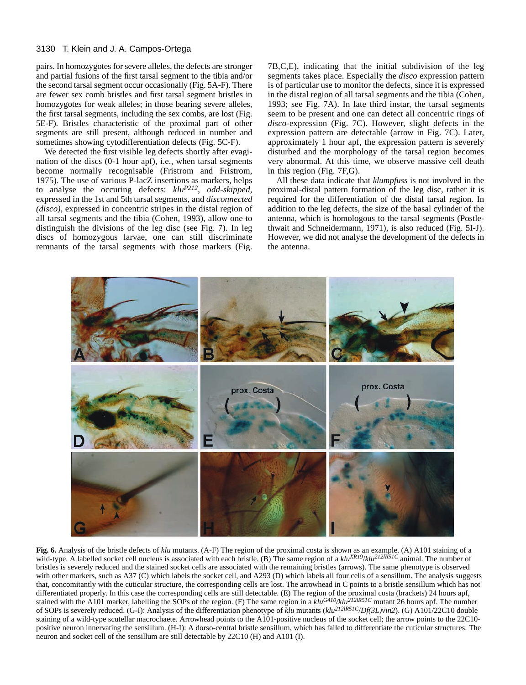pairs. In homozygotes for severe alleles, the defects are stronger and partial fusions of the first tarsal segment to the tibia and/or the second tarsal segment occur occasionally (Fig. 5A-F). There are fewer sex comb bristles and first tarsal segment bristles in homozygotes for weak alleles; in those bearing severe alleles, the first tarsal segments, including the sex combs, are lost (Fig. 5E-F). Bristles characteristic of the proximal part of other segments are still present, although reduced in number and sometimes showing cytodifferentiation defects (Fig. 5C-F).

We detected the first visible leg defects shortly after evagination of the discs (0-1 hour apf), i.e., when tarsal segments become normally recognisable (Fristrom and Fristrom, 1975). The use of various P-lacZ insertions as markers, helps to analyse the occuring defects: *kluP212*, *odd-skipped*, expressed in the 1st and 5th tarsal segments, and *disconnected (disco)*, expressed in concentric stripes in the distal region of all tarsal segments and the tibia (Cohen, 1993), allow one to distinguish the divisions of the leg disc (see Fig. 7). In leg discs of homozygous larvae, one can still discriminate remnants of the tarsal segments with those markers (Fig.

7B,C,E), indicating that the initial subdivision of the leg segments takes place. Especially the *disco* expression pattern is of particular use to monitor the defects, since it is expressed in the distal region of all tarsal segments and the tibia (Cohen, 1993; see Fig. 7A). In late third instar, the tarsal segments seem to be present and one can detect all concentric rings of *disco*-expression (Fig. 7C). However, slight defects in the expression pattern are detectable (arrow in Fig. 7C). Later, approximately 1 hour apf, the expression pattern is severely disturbed and the morphology of the tarsal region becomes very abnormal. At this time, we observe massive cell death in this region (Fig. 7F,G).

All these data indicate that *klumpfuss* is not involved in the proximal-distal pattern formation of the leg disc, rather it is required for the differentiation of the distal tarsal region. In addition to the leg defects, the size of the basal cylinder of the antenna, which is homologous to the tarsal segments (Postlethwait and Schneidermann, 1971), is also reduced (Fig. 5I-J). However, we did not analyse the development of the defects in the antenna.



**Fig. 6.** Analysis of the bristle defects of *klu* mutants. (A-F) The region of the proximal costa is shown as an example. (A) A101 staining of a wild-type. A labelled socket cell nucleus is associated with each bristle. (B) The same region of a  $klu^{XRI9}/klu^{212}l\overline{R51}C$  animal. The number of bristles is severely reduced and the stained socket cells are associated with the remaining bristles (arrows). The same phenotype is observed with other markers, such as A37 (C) which labels the socket cell, and A293 (D) which labels all four cells of a sensillum. The analysis suggests that, concomitantly with the cuticular structure, the corresponding cells are lost. The arrowhead in C points to a bristle sensillum which has not differentiated properly. In this case the corresponding cells are still detectable. (E) The region of the proximal costa (brackets) 24 hours apf, stained with the A101 marker, labelling the SOPs of the region. (F) The same region in a *kluG410/klu212lR51C* mutant 26 hours apf. The number of SOPs is severely reduced. (G-I): Analysis of the differentiation phenotype of *klu* mutants (*klu212lR51C*/*Df(3L)vin2*). (G) A101/22C10 double staining of a wild-type scutellar macrochaete. Arrowhead points to the A101-positive nucleus of the socket cell; the arrow points to the 22C10 positive neuron innervating the sensillum. (H-I): A dorso-central bristle sensillum, which has failed to differentiate the cuticular structures. The neuron and socket cell of the sensillum are still detectable by 22C10 (H) and A101 (I).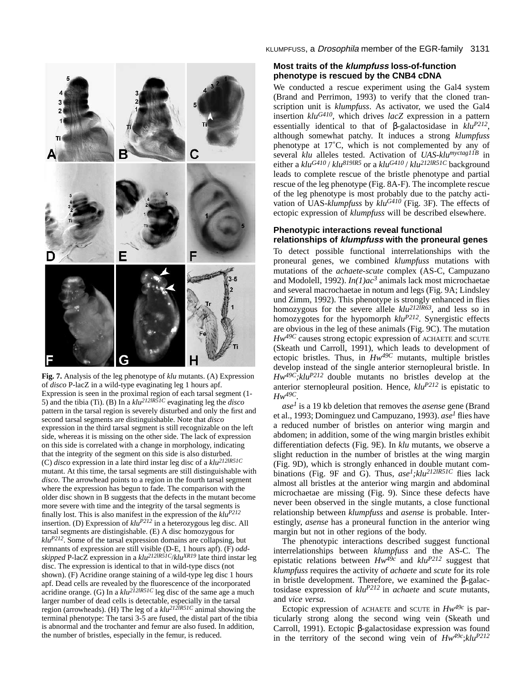

**Fig. 7.** Analysis of the leg phenotype of *klu* mutants. (A) Expression of *disco* P-lacZ in a wild-type evaginating leg 1 hours apf. Expression is seen in the proximal region of each tarsal segment (1- 5) and the tibia (Ti). (B) In a *klu212lR51C* evaginating leg the *disco* pattern in the tarsal region is severely disturbed and only the first and second tarsal segments are distinguishable. Note that *disco* expression in the third tarsal segment is still recognizable on the left side, whereas it is missing on the other side. The lack of expression on this side is correlated with a change in morphology, indicating that the integrity of the segment on this side is also disturbed. (C) *disco* expression in a late third instar leg disc of a *klu212lR51C* mutant. At this time, the tarsal segments are still distinguishable with *disco*. The arrowhead points to a region in the fourth tarsal segment where the expression has begun to fade. The comparison with the older disc shown in B suggests that the defects in the mutant become more severe with time and the integrity of the tarsal segments is finally lost. This is also manifest in the expression of the *kluP212* insertion. (D) Expression of *kluP212* in a heterozygous leg disc. All tarsal segments are distingishable. (E) A disc homozygous for *kluP212*. Some of the tarsal expression domains are collapsing, but remnants of expression are still visible (D-E, 1 hours apf). (F) *oddskipped* P-lacZ expression in a *klu212lR51C*/*kluXR19* late third instar leg disc. The expression is identical to that in wild-type discs (not shown). (F) Acridine orange staining of a wild-type leg disc 1 hours apf. Dead cells are revealed by the fluorescence of the incorporated acridine orange. (G) In a *klu212lR51C* leg disc of the same age a much larger number of dead cells is detectable, especially in the tarsal region (arrowheads). (H) The leg of a *klu212lR51C* animal showing the terminal phenotype: The tarsi 3-5 are fused, the distal part of the tibia is abnormal and the trochanter and femur are also fused. In addition, the number of bristles, especially in the femur, is reduced.

KLUMPFUSS, a Drosophila member of the EGR-family 3131

## **Most traits of the klumpfuss loss-of-function phenotype is rescued by the CNB4 cDNA**

We conducted a rescue experiment using the Gal4 system (Brand and Perrimon, 1993) to verify that the cloned transcription unit is *klumpfuss*. As activator, we used the Gal4 insertion *kluG410*, which drives *lacZ* expression in a pattern essentially identical to that of β-galactosidase in *kluP212*, although somewhat patchy. It induces a strong *klumpfuss* phenotype at 17˚C, which is not complemented by any of several *klu* alleles tested. Activation of *UAS-klumyctag11B* in either a  $k \frac{u}{g}$  /  $k \frac{u}{g}$  /  $k \frac{u}{g}$  or a  $k \frac{u}{g}$  /  $k \frac{u}{g}$  /  $k \frac{u}{g}$  /  $k \frac{u}{g}$  background leads to complete rescue of the bristle phenotype and partial rescue of the leg phenotype (Fig. 8A-F). The incomplete rescue of the leg phenotype is most probably due to the patchy activation of UAS-*klumpfuss* by *kluG410* (Fig. 3F). The effects of ectopic expression of *klumpfuss* will be described elsewhere.

#### **Phenotypic interactions reveal functional relationships of klumpfuss with the proneural genes**

To detect possible functional interrelationships with the proneural genes, we combined *klumpfuss* mutations with mutations of the *achaete-scute* complex (AS-C, Campuzano and Modolell, 1992). *In(1)ac3* animals lack most microchaetae and several macrochaetae in notum and legs (Fig. 9A; Lindsley und Zimm, 1992). This phenotype is strongly enhanced in flies homozygous for the severe allele  $klu^{212\bar{l}R63}$ , and less so in homozygotes for the hypomorph *kluP212*. Synergistic effects are obvious in the leg of these animals (Fig. 9C). The mutation *Hw49C* causes strong ectopic expression of ACHAETE and SCUTE (Skeath und Carroll, 1991), which leads to development of ectopic bristles. Thus, in *Hw49C* mutants, multiple bristles develop instead of the single anterior sternopleural bristle. In *Hw49C;kluP212* double mutants no bristles develop at the anterior sternopleural position. Hence, *kluP212* is epistatic to *Hw49C*.

*ase1* is a 19 kb deletion that removes the *asense* gene (Brand et al., 1993; Dominguez und Campuzano, 1993). *ase<sup>1</sup>* flies have a reduced number of bristles on anterior wing margin and abdomen; in addition, some of the wing margin bristles exhibit differentiation defects (Fig. 9E). In *klu* mutants, we observe a slight reduction in the number of bristles at the wing margin (Fig. 9D), which is strongly enhanced in double mutant combinations (Fig. 9F and G). Thus,  $ase<sup>1</sup>; klu<sup>212IR51C</sup>$  flies lack almost all bristles at the anterior wing margin and abdominal microchaetae are missing (Fig. 9). Since these defects have never been observed in the single mutants, a close functional relationship between *klumpfuss* and *asense* is probable. Interestingly, *asense* has a proneural function in the anterior wing margin but not in other regions of the body.

The phenotypic interactions described suggest functional interrelationships between *klumpfuss* and the AS-C. The epistatic relations between  $Hw^{49c}$  and  $klu^{P212}$  suggest that *klumpfuss* requires the activity of *achaete* and *scute* for its role in bristle development. Therefore, we examined the β-galactosidase expression of *kluP212* in *achaete* and *scute* mutants, and *vice versa*.

Ectopic expression of ACHAETE and SCUTE in  $Hw^{49c}$  is particularly strong along the second wing vein (Skeath und Carroll, 1991). Ectopic β-galactosidase expression was found in the territory of the second wing vein of  $Hw^{49c}$ ;*klu<sup>P212</sup>*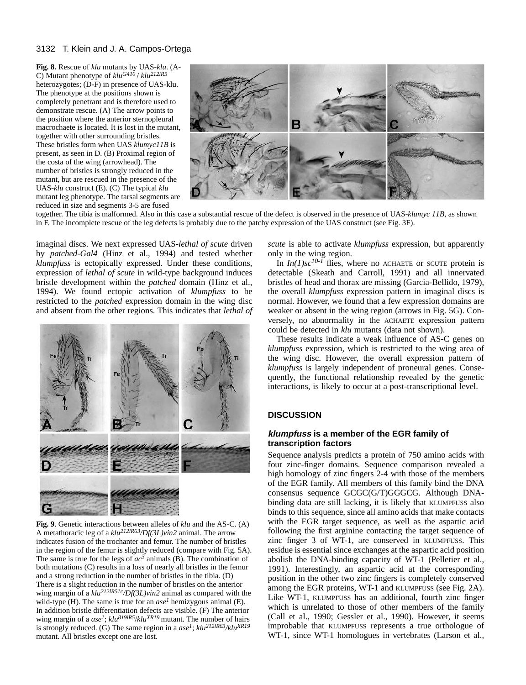**Fig. 8.** Rescue of *klu* mutants by UAS-*klu*. (A-C) Mutant phenotype of *kluG410* / *klu212lR5* heterozygotes; (D-F) in presence of UAS-klu. The phenotype at the positions shown is completely penetrant and is therefore used to demonstrate rescue. (A) The arrow points to the position where the anterior sternopleural macrochaete is located. It is lost in the mutant, together with other surrounding bristles. These bristles form when UAS *klumyc11B* is present, as seen in D. (B) Proximal region of the costa of the wing (arrowhead). The number of bristles is strongly reduced in the mutant, but are rescued in the presence of the UAS-*klu* construct (E). (C) The typical *klu* mutant leg phenotype. The tarsal segments are reduced in size and segments 3-5 are fused



together. The tibia is malformed. Also in this case a substantial rescue of the defect is observed in the presence of UAS-*klumyc 11B*, as shown in F. The incomplete rescue of the leg defects is probably due to the patchy expression of the UAS construct (see Fig. 3F).

imaginal discs. We next expressed UAS-*lethal of scute* driven by *patched-Gal4* (Hinz et al., 1994) and tested whether *klumpfuss* is ectopically expressed. Under these conditions, expression of *lethal of scute* in wild-type background induces bristle development within the *patched* domain (Hinz et al., 1994). We found ectopic activation of *klumpfuss* to be restricted to the *patched* expression domain in the wing disc and absent from the other regions. This indicates that *lethal of*



**Fig. 9**. Genetic interactions between alleles of *klu* and the AS-C. (A) A metathoracic leg of a *klu212lR63/Df(3L)vin2* animal. The arrow indicates fusion of the trochanter and femur. The number of bristles in the region of the femur is slightly reduced (compare with Fig. 5A). The same is true for the legs of  $ac^3$  animals (B). The combination of both mutations (C) results in a loss of nearly all bristles in the femur and a strong reduction in the number of bristles in the tibia. (D) There is a slight reduction in the number of bristles on the anterior wing margin of a *klu212lR51c/Df(3L)vin2* animal as compared with the wild-type (H). The same is true for an  $ase<sup>1</sup>$  hemizygous animal (E). In addition bristle differentiation defects are visible. (F) The anterior wing margin of a  $ase^1$ ;  $klu^{819}R5/klu^{XR19}$  mutant. The number of hairs is strongly reduced. (G) The same region in a *ase1*; *klu212lR63/kluXR19* mutant. All bristles except one are lost.

*scute* is able to activate *klumpfuss* expression, but apparently only in the wing region.

In  $In(1)$ sc<sup>10-1</sup> flies, where no ACHAETE or SCUTE protein is detectable (Skeath and Carroll, 1991) and all innervated bristles of head and thorax are missing (Garcia-Bellido, 1979), the overall *klumpfuss* expression pattern in imaginal discs is normal. However, we found that a few expression domains are weaker or absent in the wing region (arrows in Fig. 5G). Conversely, no abnormality in the ACHAETE expression pattern could be detected in *klu* mutants (data not shown).

These results indicate a weak influence of AS-C genes on *klumpfuss* expression, which is restricted to the wing area of the wing disc. However, the overall expression pattern of *klumpfuss* is largely independent of proneural genes. Consequently, the functional relationship revealed by the genetic interactions, is likely to occur at a post-transcriptional level.

## **DISCUSSION**

## **klumpfuss is a member of the EGR family of transcription factors**

Sequence analysis predicts a protein of 750 amino acids with four zinc-finger domains. Sequence comparison revealed a high homology of zinc fingers 2-4 with those of the members of the EGR family. All members of this family bind the DNA consensus sequence GCGC(G/T)GGGCG. Although DNAbinding data are still lacking, it is likely that KLUMPFUSS also binds to this sequence, since all amino acids that make contacts with the EGR target sequence, as well as the aspartic acid following the first arginine contacting the target sequence of zinc finger 3 of WT-1, are conserved in KLUMPFUSS. This residue is essential since exchanges at the aspartic acid position abolish the DNA-binding capacity of WT-1 (Pelletier et al., 1991). Interestingly, an aspartic acid at the corresponding position in the other two zinc fingers is completely conserved among the EGR proteins, WT-1 and KLUMPFUSS (see Fig. 2A). Like WT-1, KLUMPFUSS has an additional, fourth zinc finger which is unrelated to those of other members of the family (Call et al., 1990; Gessler et al., 1990). However, it seems improbable that KLUMPFUSS represents a true orthologue of WT-1, since WT-1 homologues in vertebrates (Larson et al.,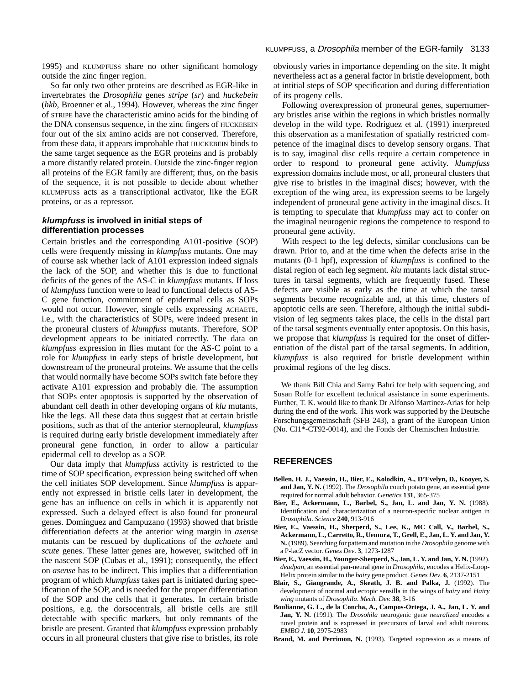1995) and KLUMPFUSS share no other significant homology outside the zinc finger region.

So far only two other proteins are described as EGR-like in invertebrates the *Drosophila* genes *stripe* (*sr*) and *huckebein* (*hkb*, Broenner et al., 1994). However, whereas the zinc finger of STRIPE have the characteristic amino acids for the binding of the DNA consensus sequence, in the zinc fingers of HUCKEBEIN four out of the six amino acids are not conserved. Therefore, from these data, it appears improbable that HUCKEBEIN binds to the same target sequence as the EGR proteins and is probably a more distantly related protein. Outside the zinc-finger region all proteins of the EGR family are different; thus, on the basis of the sequence, it is not possible to decide about whether KLUMPFUSS acts as a transcriptional activator, like the EGR proteins, or as a repressor.

### **klumpfuss is involved in initial steps of differentiation processes**

Certain bristles and the corresponding A101-positive (SOP) cells were frequently missing in *klumpfuss* mutants. One may of course ask whether lack of A101 expression indeed signals the lack of the SOP, and whether this is due to functional deficits of the genes of the AS-C in *klumpfuss* mutants. If loss of *klumpfuss* function were to lead to functional defects of AS-C gene function, commitment of epidermal cells as SOPs would not occur. However, single cells expressing ACHAETE, i.e., with the characteristics of SOPs, were indeed present in the proneural clusters of *klumpfuss* mutants. Therefore, SOP development appears to be initiated correctly. The data on *klumpfuss* expression in flies mutant for the AS-C point to a role for *klumpfuss* in early steps of bristle development, but downstream of the proneural proteins. We assume that the cells that would normally have become SOPs switch fate before they activate A101 expression and probably die. The assumption that SOPs enter apoptosis is supported by the observation of abundant cell death in other developing organs of *klu* mutants, like the legs. All these data thus suggest that at certain bristle positions, such as that of the anterior sternopleural, *klumpfuss* is required during early bristle development immediately after proneural gene function, in order to allow a particular epidermal cell to develop as a SOP.

Our data imply that *klumpfuss* activity is restricted to the time of SOP specification, expression being switched off when the cell initiates SOP development. Since *klumpfuss* is apparently not expressed in bristle cells later in development, the gene has an influence on cells in which it is apparently not expressed. Such a delayed effect is also found for proneural genes. Dominguez and Campuzano (1993) showed that bristle differentiation defects at the anterior wing margin in *asense* mutants can be rescued by duplications of the *achaete* and *scute* genes. These latter genes are, however, switched off in the nascent SOP (Cubas et al., 1991); consequently, the effect on *asense* has to be indirect. This implies that a differentiation program of which *klumpfuss* takes part is initiated during specification of the SOP, and is needed for the proper differentiation of the SOP and the cells that it generates*.* In certain bristle positions, e.g. the dorsocentrals, all bristle cells are still detectable with specific markers, but only remnants of the bristle are present. Granted that *klumpfuss* expression probably occurs in all proneural clusters that give rise to bristles, its role

obviously varies in importance depending on the site. It might nevertheless act as a general factor in bristle development, both at intitial steps of SOP specification and during differentiation of its progeny cells.

Following overexpression of proneural genes, supernumerary bristles arise within the regions in which bristles normally develop in the wild type. Rodriguez et al. (1991) interpreted this observation as a manifestation of spatially restricted competence of the imaginal discs to develop sensory organs. That is to say, imaginal disc cells require a certain competence in order to respond to proneural gene activity. *klumpfuss* expression domains include most, or all, proneural clusters that give rise to bristles in the imaginal discs; however, with the exception of the wing area, its expression seems to be largely independent of proneural gene activity in the imaginal discs. It is tempting to speculate that *klumpfuss* may act to confer on the imaginal neurogenic regions the competence to respond to proneural gene activity.

With respect to the leg defects, similar conclusions can be drawn. Prior to, and at the time when the defects arise in the mutants (0-1 hpf), expression of *klumpfuss* is confined to the distal region of each leg segment. *klu* mutants lack distal structures in tarsal segments, which are frequently fused. These defects are visible as early as the time at which the tarsal segments become recognizable and, at this time, clusters of apoptotic cells are seen. Therefore, although the initial subdivision of leg segments takes place, the cells in the distal part of the tarsal segments eventually enter apoptosis. On this basis, we propose that *klumpfuss* is required for the onset of differentiation of the distal part of the tarsal segments. In addition, *klumpfuss* is also required for bristle development within proximal regions of the leg discs.

We thank Bill Chia and Samy Bahri for help with sequencing, and Susan Rolfe for excellent technical assistance in some experiments. Further, T. K. would like to thank Dr Alfonso Martinez-Arias for help during the end of the work. This work was supported by the Deutsche Forschungsgemeinschaft (SFB 243), a grant of the European Union (No. CI1\*-CT92-0014), and the Fonds der Chemischen Industrie.

#### **REFERENCES**

- **Bellen, H. J., Vaessin, H., Bier, E., Kolodkin, A., D'Evelyn, D., Kooyer, S. and Jan, Y. N.** (1992). The *Drosophila* couch potato gene, an essential gene required for normal adult behavior. *Genetics* **131**, 365-375
- **Bier, E., Ackermann, L., Barbel, S., Jan, L. and Jan, Y. N.** (1988). Identification and characterization of a neuron-specific nuclear antigen in *Drosophila*. *Science* **240**, 913-916
- **Bier, E., Vaessin, H., Sherperd, S., Lee, K., MC Call, V., Barbel, S., Ackermann, L., Carretto, R., Uemura, T., Grell, E., Jan, L. Y. and Jan, Y. N.** (1989). Searching for pattern and mutation in the *Drosophila* genome with a P-lacZ vector. *Genes Dev*. **3**, 1273-1287
- **Bier, E., Vaessin, H., Younger-Sherperd, S., Jan, L. Y. and Jan, Y. N.** (1992). *deadpan*, an essential pan-neural gene in *Drosophila*, encodes a Helix-Loop-Helix protein similar to the *hairy* gene product. *Genes Dev*. **6**, 2137-2151
- **Blair, S., Giangrande, A., Skeath, J. B. and Palka, J.** (1992). The development of normal and ectopic sensilla in the wings of *hairy* and *Hairy wing* mutants of *Drosophila*. *Mech. Dev.* **38**, 3-16
- **Boulianne, G. L., de la Concha, A., Campos-Ortega, J. A., Jan, L. Y. and Jan, Y. N.** (1991). The *Drosohila* neurogenic gene *neuralized* encodes a novel protein and is expressed in precursors of larval and adult neurons. *EMBO J.* **10**, 2975-2983
- Brand, M. and Perrimon, N. (1993). Targeted expression as a means of